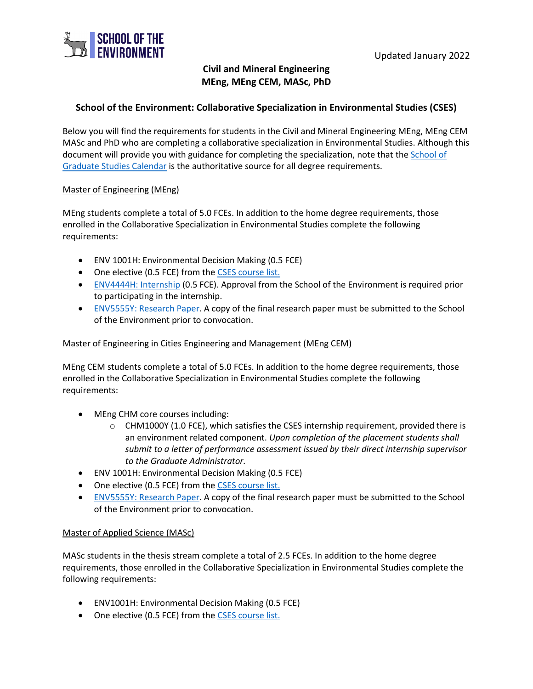

# **Civil and Mineral Engineering MEng, MEng CEM, MASc, PhD**

## **School of the Environment: Collaborative Specialization in Environmental Studies (CSES)**

Below you will find the requirements for students in the Civil and Mineral Engineering MEng, MEng CEM MASc and PhD who are completing a collaborative specialization in Environmental Studies. Although this document will provide you with guidance for completing the specialization, note that the School of [Graduate Studies Calendar](https://sgs.calendar.utoronto.ca/collaborative/Environmental%20Studies) is the authoritative source for all degree requirements.

#### Master of Engineering (MEng)

MEng students complete a total of 5.0 FCEs. In addition to the home degree requirements, those enrolled in the Collaborative Specialization in Environmental Studies complete the following requirements:

- ENV 1001H: Environmental Decision Making (0.5 FCE)
- One elective (0.5 FCE) from the [CSES course list.](https://sgs.calendar.utoronto.ca/collaborative/Environmental%20Studies)
- [ENV4444H: Internship](https://www.environment.utoronto.ca/graduate/collaborative-specializations/internship-guidelines) (0.5 FCE). Approval from the School of the Environment is required prior to participating in the internship.
- [ENV5555Y: Research Paper.](https://www.environment.utoronto.ca/graduate/collaborative-specializations/research-paper-thesis-guidelines) A copy of the final research paper must be submitted to the School of the Environment prior to convocation.

#### Master of Engineering in Cities Engineering and Management (MEng CEM)

MEng CEM students complete a total of 5.0 FCEs. In addition to the home degree requirements, those enrolled in the Collaborative Specialization in Environmental Studies complete the following requirements:

- MEng CHM core courses including:
	- o CHM1000Y (1.0 FCE), which satisfies the CSES internship requirement, provided there is an environment related component. *Upon completion of the placement students shall submit to a letter of performance assessment issued by their direct internship supervisor to the Graduate Administrator.*
- ENV 1001H: Environmental Decision Making (0.5 FCE)
- One elective (0.5 FCE) from the [CSES course list.](https://sgs.calendar.utoronto.ca/collaborative/Environmental%20Studies)
- [ENV5555Y: Research Paper.](https://www.environment.utoronto.ca/graduate/collaborative-specializations/research-paper-thesis-guidelines) A copy of the final research paper must be submitted to the School of the Environment prior to convocation.

#### Master of Applied Science (MASc)

MASc students in the thesis stream complete a total of 2.5 FCEs. In addition to the home degree requirements, those enrolled in the Collaborative Specialization in Environmental Studies complete the following requirements:

- ENV1001H: Environmental Decision Making (0.5 FCE)
- One elective (0.5 FCE) from the [CSES course list.](https://sgs.calendar.utoronto.ca/collaborative/Environmental%20Studies)